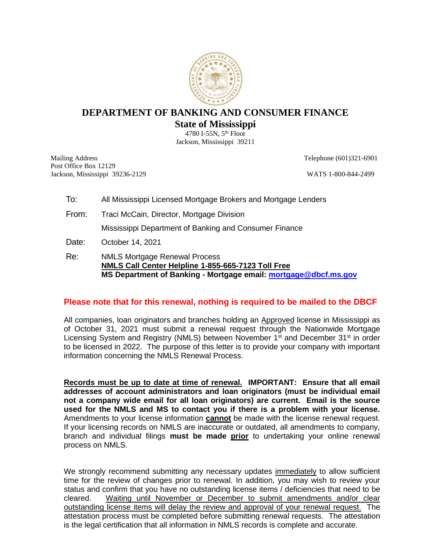

### **DEPARTMENT OF BANKING AND CONSUMER FINANCE State of Mississippi**

4780 I-55N, 5th Floor Jackson, Mississippi 39211

Mailing Address Telephone (601)321-6901 Post Office Box 12129 Jackson, Mississippi 39236-2129 WATS 1-800-844-2499

- To: All Mississippi Licensed Mortgage Brokers and Mortgage Lenders
- From: Traci McCain, Director, Mortgage Division

Mississippi Department of Banking and Consumer Finance

- Date: October 14, 2021
- Re: NMLS Mortgage Renewal Process **NMLS Call Center Helpline 1-855-665-7123 Toll Free MS Department of Banking - Mortgage email: [mortgage@dbcf.ms.gov](mailto:mortgage@dbcf.ms.gov)**

#### **Please note that for this renewal, nothing is required to be mailed to the DBCF**

All companies, loan originators and branches holding an **Approved** license in Mississippi as of October 31, 2021 must submit a renewal request through the Nationwide Mortgage Licensing System and Registry (NMLS) between November 1<sup>st</sup> and December 31<sup>st</sup> in order to be licensed in 2022. The purpose of this letter is to provide your company with important information concerning the NMLS Renewal Process.

**Records must be up to date at time of renewal. IMPORTANT: Ensure that all email addresses of account administrators and loan originators (must be individual email not a company wide email for all loan originators) are current. Email is the source used for the NMLS and MS to contact you if there is a problem with your license.**  Amendments to your license information **cannot** be made with the license renewal request. If your licensing records on NMLS are inaccurate or outdated, all amendments to company, branch and individual filings **must be made prior** to undertaking your online renewal process on NMLS.

We strongly recommend submitting any necessary updates immediately to allow sufficient time for the review of changes prior to renewal. In addition, you may wish to review your status and confirm that you have no outstanding license items / deficiencies that need to be cleared. Waiting until November or December to submit amendments and/or clear outstanding license items will delay the review and approval of your renewal request. The attestation process must be completed before submitting renewal requests. The attestation is the legal certification that all information in NMLS records is complete and accurate.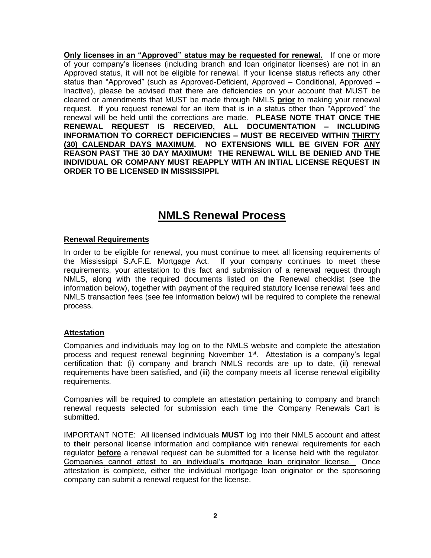**Only licenses in an "Approved" status may be requested for renewal.** If one or more of your company's licenses (including branch and loan originator licenses) are not in an Approved status, it will not be eligible for renewal. If your license status reflects any other status than "Approved" (such as Approved-Deficient, Approved – Conditional, Approved – Inactive), please be advised that there are deficiencies on your account that MUST be cleared or amendments that MUST be made through NMLS **prior** to making your renewal request. If you request renewal for an item that is in a status other than "Approved" the renewal will be held until the corrections are made. **PLEASE NOTE THAT ONCE THE RENEWAL REQUEST IS RECEIVED, ALL DOCUMENTATION – INCLUDING INFORMATION TO CORRECT DEFICIENCIES – MUST BE RECEIVED WITHIN THIRTY (30) CALENDAR DAYS MAXIMUM. NO EXTENSIONS WILL BE GIVEN FOR ANY REASON PAST THE 30 DAY MAXIMUM! THE RENEWAL WILL BE DENIED AND THE INDIVIDUAL OR COMPANY MUST REAPPLY WITH AN INTIAL LICENSE REQUEST IN ORDER TO BE LICENSED IN MISSISSIPPI.** 

## **NMLS Renewal Process**

#### **Renewal Requirements**

In order to be eligible for renewal, you must continue to meet all licensing requirements of the Mississippi S.A.F.E. Mortgage Act. If your company continues to meet these requirements, your attestation to this fact and submission of a renewal request through NMLS, along with the required documents listed on the Renewal checklist (see the information below), together with payment of the required statutory license renewal fees and NMLS transaction fees (see fee information below) will be required to complete the renewal process.

#### **Attestation**

Companies and individuals may log on to the NMLS website and complete the attestation process and request renewal beginning November 1<sup>st</sup>. Attestation is a company's legal certification that: (i) company and branch NMLS records are up to date, (ii) renewal requirements have been satisfied, and (iii) the company meets all license renewal eligibility requirements.

Companies will be required to complete an attestation pertaining to company and branch renewal requests selected for submission each time the Company Renewals Cart is submitted.

IMPORTANT NOTE: All licensed individuals **MUST** log into their NMLS account and attest to **their** personal license information and compliance with renewal requirements for each regulator **before** a renewal request can be submitted for a license held with the regulator. Companies cannot attest to an individual's mortgage loan originator license. Once attestation is complete, either the individual mortgage loan originator or the sponsoring company can submit a renewal request for the license.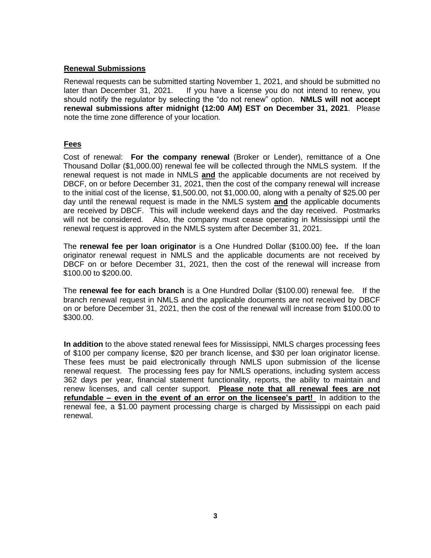#### **Renewal Submissions**

Renewal requests can be submitted starting November 1, 2021, and should be submitted no later than December 31, 2021. If you have a license you do not intend to renew, you should notify the regulator by selecting the "do not renew" option. **NMLS will not accept renewal submissions after midnight (12:00 AM) EST on December 31, 2021**. Please note the time zone difference of your location.

### **Fees**

Cost of renewal: **For the company renewal** (Broker or Lender), remittance of a One Thousand Dollar (\$1,000.00) renewal fee will be collected through the NMLS system. If the renewal request is not made in NMLS **and** the applicable documents are not received by DBCF, on or before December 31, 2021, then the cost of the company renewal will increase to the initial cost of the license, \$1,500.00, not \$1,000.00, along with a penalty of \$25.00 per day until the renewal request is made in the NMLS system **and** the applicable documents are received by DBCF. This will include weekend days and the day received. Postmarks will not be considered. Also, the company must cease operating in Mississippi until the renewal request is approved in the NMLS system after December 31, 2021.

The **renewal fee per loan originator** is a One Hundred Dollar (\$100.00) fee**.** If the loan originator renewal request in NMLS and the applicable documents are not received by DBCF on or before December 31, 2021, then the cost of the renewal will increase from \$100.00 to \$200.00.

The **renewal fee for each branch** is a One Hundred Dollar (\$100.00) renewal fee. If the branch renewal request in NMLS and the applicable documents are not received by DBCF on or before December 31, 2021, then the cost of the renewal will increase from \$100.00 to \$300.00.

**In addition** to the above stated renewal fees for Mississippi, NMLS charges processing fees of \$100 per company license, \$20 per branch license, and \$30 per loan originator license. These fees must be paid electronically through NMLS upon submission of the license renewal request. The processing fees pay for NMLS operations, including system access 362 days per year, financial statement functionality, reports, the ability to maintain and renew licenses, and call center support. **Please note that all renewal fees are not refundable – even in the event of an error on the licensee's part!** In addition to the renewal fee, a \$1.00 payment processing charge is charged by Mississippi on each paid renewal.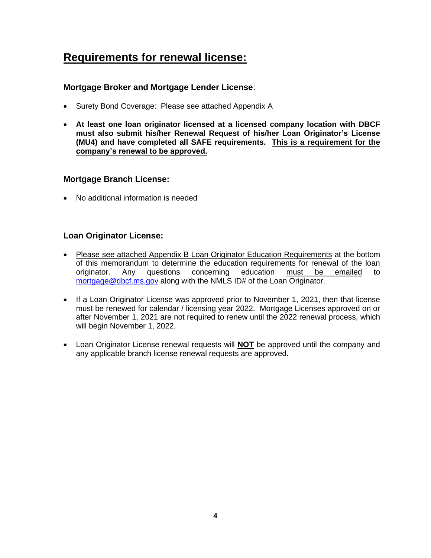# **Requirements for renewal license:**

### **Mortgage Broker and Mortgage Lender License**:

- Surety Bond Coverage: Please see attached Appendix A
- **At least one loan originator licensed at a licensed company location with DBCF must also submit his/her Renewal Request of his/her Loan Originator's License (MU4) and have completed all SAFE requirements. This is a requirement for the company's renewal to be approved.**

### **Mortgage Branch License:**

• No additional information is needed

### **Loan Originator License:**

- Please see attached Appendix B Loan Originator Education Requirements at the bottom of this memorandum to determine the education requirements for renewal of the loan originator. Any questions concerning education must be emailed to [mortgage@dbcf.ms.gov](mailto:mortgage@dbcf.ms.gov) along with the NMLS ID# of the Loan Originator.
- If a Loan Originator License was approved prior to November 1, 2021, then that license must be renewed for calendar / licensing year 2022. Mortgage Licenses approved on or after November 1, 2021 are not required to renew until the 2022 renewal process, which will begin November 1, 2022.
- Loan Originator License renewal requests will **NOT** be approved until the company and any applicable branch license renewal requests are approved.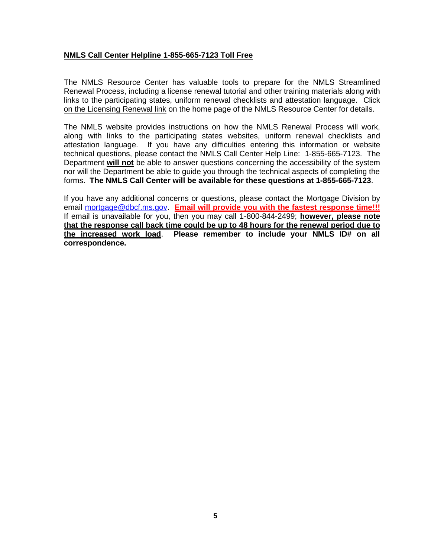#### **NMLS Call Center Helpline 1-855-665-7123 Toll Free**

The NMLS Resource Center has valuable tools to prepare for the NMLS Streamlined Renewal Process, including a license renewal tutorial and other training materials along with links to the participating states, uniform renewal checklists and attestation language. Click on the Licensing Renewal link on the home page of the NMLS Resource Center for details.

The NMLS website provides instructions on how the NMLS Renewal Process will work, along with links to the participating states websites, uniform renewal checklists and attestation language. If you have any difficulties entering this information or website technical questions, please contact the NMLS Call Center Help Line: 1-855-665-7123. The Department **will not** be able to answer questions concerning the accessibility of the system nor will the Department be able to guide you through the technical aspects of completing the forms. **The NMLS Call Center will be available for these questions at 1-855-665-7123**.

If you have any additional concerns or questions, please contact the Mortgage Division by email [mortgage@dbcf.ms.gov.](mailto:mortgage@dbcf.ms.gov) **Email will provide you with the fastest response time!!!** If email is unavailable for you, then you may call 1-800-844-2499; **however, please note that the response call back time could be up to 48 hours for the renewal period due to the increased work load**. **Please remember to include your NMLS ID# on all correspondence.**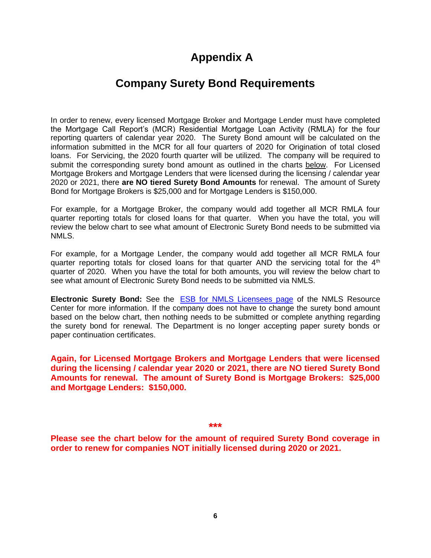# **Appendix A**

## **Company Surety Bond Requirements**

In order to renew, every licensed Mortgage Broker and Mortgage Lender must have completed the Mortgage Call Report's (MCR) Residential Mortgage Loan Activity (RMLA) for the four reporting quarters of calendar year 2020. The Surety Bond amount will be calculated on the information submitted in the MCR for all four quarters of 2020 for Origination of total closed loans. For Servicing, the 2020 fourth quarter will be utilized. The company will be required to submit the corresponding surety bond amount as outlined in the charts below. For Licensed Mortgage Brokers and Mortgage Lenders that were licensed during the licensing / calendar year 2020 or 2021, there **are NO tiered Surety Bond Amounts** for renewal. The amount of Surety Bond for Mortgage Brokers is \$25,000 and for Mortgage Lenders is \$150,000.

For example, for a Mortgage Broker, the company would add together all MCR RMLA four quarter reporting totals for closed loans for that quarter. When you have the total, you will review the below chart to see what amount of Electronic Surety Bond needs to be submitted via NMLS.

For example, for a Mortgage Lender, the company would add together all MCR RMLA four quarter reporting totals for closed loans for that quarter AND the servicing total for the  $4<sup>th</sup>$ quarter of 2020. When you have the total for both amounts, you will review the below chart to see what amount of Electronic Surety Bond needs to be submitted via NMLS.

**Electronic Surety Bond:** See the [ESB for NMLS Licensees page](http://mortgage.nationwidelicensingsystem.org/Pages/ESBforNMLSLicensees.aspx) of the NMLS Resource Center for more information. If the company does not have to change the surety bond amount based on the below chart, then nothing needs to be submitted or complete anything regarding the surety bond for renewal. The Department is no longer accepting paper surety bonds or paper continuation certificates.

**Again, for Licensed Mortgage Brokers and Mortgage Lenders that were licensed during the licensing / calendar year 2020 or 2021, there are NO tiered Surety Bond Amounts for renewal. The amount of Surety Bond is Mortgage Brokers: \$25,000 and Mortgage Lenders: \$150,000.** 

**\*\*\*** 

**Please see the chart below for the amount of required Surety Bond coverage in order to renew for companies NOT initially licensed during 2020 or 2021.**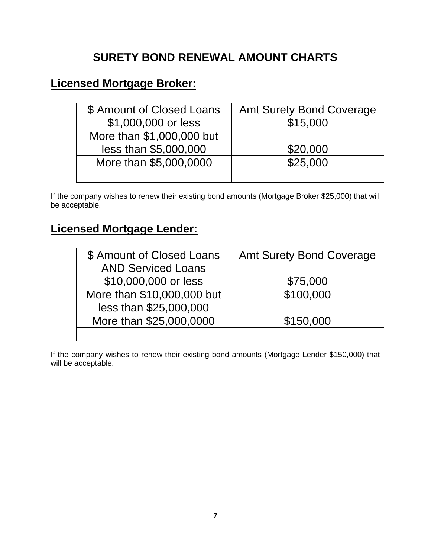# **SURETY BOND RENEWAL AMOUNT CHARTS**

# **Licensed Mortgage Broker:**

| \$ Amount of Closed Loans | <b>Amt Surety Bond Coverage</b> |
|---------------------------|---------------------------------|
| \$1,000,000 or less       | \$15,000                        |
| More than \$1,000,000 but |                                 |
| less than \$5,000,000     | \$20,000                        |
| More than \$5,000,0000    | \$25,000                        |
|                           |                                 |

If the company wishes to renew their existing bond amounts (Mortgage Broker \$25,000) that will be acceptable.

# **Licensed Mortgage Lender:**

| \$ Amount of Closed Loans  | <b>Amt Surety Bond Coverage</b> |
|----------------------------|---------------------------------|
| <b>AND Serviced Loans</b>  |                                 |
| \$10,000,000 or less       | \$75,000                        |
| More than \$10,000,000 but | \$100,000                       |
| less than \$25,000,000     |                                 |
| More than \$25,000,0000    | \$150,000                       |
|                            |                                 |

If the company wishes to renew their existing bond amounts (Mortgage Lender \$150,000) that will be acceptable.